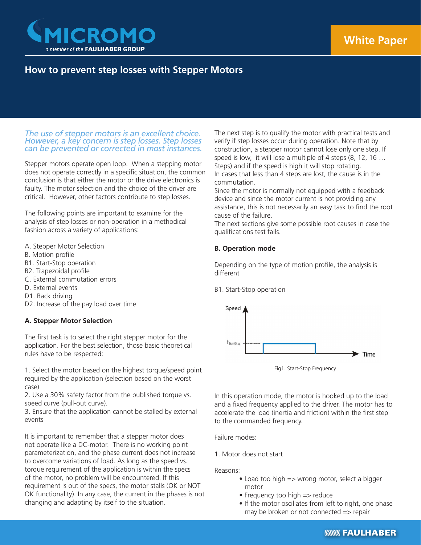

# **How to prevent step losses with Stepper Motors**

## *The use of stepper motors is an excellent choice. However, a key concern is step losses. Step losses can be prevented or corrected in most instances.*

Stepper motors operate open loop. When a stepping motor does not operate correctly in a specific situation, the common conclusion is that either the motor or the drive electronics is faulty. The motor selection and the choice of the driver are critical. However, other factors contribute to step losses.

The following points are important to examine for the analysis of step losses or non-operation in a methodical fashion across a variety of applications:

- A. Stepper Motor Selection
- B. Motion profile
- B1. Start-Stop operation
- B2. Trapezoidal profile
- C. External commutation errors
- D. External events
- D1. Back driving
- D2. Increase of the pay load over time

## **A. Stepper Motor Selection**

The first task is to select the right stepper motor for the application. For the best selection, those basic theoretical rules have to be respected:

1. Select the motor based on the highest torque/speed point required by the application (selection based on the worst case)

2. Use a 30% safety factor from the published torque vs. speed curve (pull-out curve).

3. Ensure that the application cannot be stalled by external events

It is important to remember that a stepper motor does not operate like a DC-motor. There is no working point parameterization, and the phase current does not increase to overcome variations of load. As long as the speed vs. torque requirement of the application is within the specs of the motor, no problem will be encountered. If this requirement is out of the specs, the motor stalls (OK or NOT OK functionality). In any case, the current in the phases is not changing and adapting by itself to the situation.

The next step is to qualify the motor with practical tests and verify if step losses occur during operation. Note that by construction, a stepper motor cannot lose only one step. If speed is low, it will lose a multiple of 4 steps (8, 12, 16 … Steps) and if the speed is high it will stop rotating. In cases that less than 4 steps are lost, the cause is in the commutation.

Since the motor is normally not equipped with a feedback device and since the motor current is not providing any assistance, this is not necessarily an easy task to find the root cause of the failure.

The next sections give some possible root causes in case the qualifications test fails.

## **B. Operation mode**

Depending on the type of motion profile, the analysis is different

B1. Start-Stop operation



Fig1. Start-Stop Frequency

In this operation mode, the motor is hooked up to the load and a fixed frequency applied to the driver. The motor has to accelerate the load (inertia and friction) within the first step to the commanded frequency.

Failure modes:

## 1. Motor does not start

Reasons:

- Load too high => wrong motor, select a bigger motor
- Frequency too high => reduce
- If the motor oscillates from left to right, one phase may be broken or not connected => repair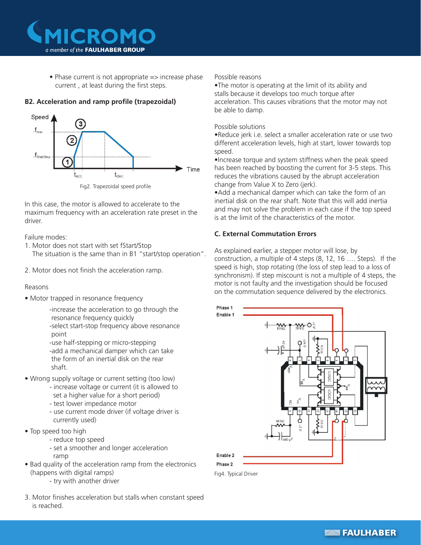

• Phase current is not appropriate  $\Rightarrow$  increase phase current , at least during the first steps.

# **B2. Acceleration and ramp profile (trapezoidal)**



In this case, the motor is allowed to accelerate to the maximum frequency with an acceleration rate preset in the driver.

Failure modes:

- 1. Motor does not start with set fStart/Stop The situation is the same than in B1 "start/stop operation".
- 2. Motor does not finish the acceleration ramp.

## Reasons

• Motor trapped in resonance frequency

-increase the acceleration to go through the resonance frequency quickly -select start-stop frequency above resonance point

-use half-stepping or micro-stepping -add a mechanical damper which can take the form of an inertial disk on the rear shaft.

- Wrong supply voltage or current setting (too low)
	- increase voltage or current (it is allowed to set a higher value for a short period)
	- test lower impedance motor
	- use current mode driver (if voltage driver is currently used)
- Top speed too high
	- reduce top speed
	- set a smoother and longer acceleration
		- ramp
- Bad quality of the acceleration ramp from the electronics (happens with digital ramps)
	- try with another driver
- 3. Motor finishes acceleration but stalls when constant speed is reached.

Possible reasons

•The motor is operating at the limit of its ability and stalls because it develops too much torque after acceleration. This causes vibrations that the motor may not be able to damp.

# Possible solutions

•Reduce jerk i.e. select a smaller acceleration rate or use two different acceleration levels, high at start, lower towards top speed.

•Increase torque and system stiffness when the peak speed has been reached by boosting the current for 3-5 steps. This reduces the vibrations caused by the abrupt acceleration change from Value X to Zero (jerk).

•Add a mechanical damper which can take the form of an inertial disk on the rear shaft. Note that this will add inertia and may not solve the problem in each case if the top speed is at the limit of the characteristics of the motor.

# **C. External Commutation Errors**

As explained earlier, a stepper motor will lose, by construction, a multiple of 4 steps (8, 12, 16 …. Steps). If the speed is high, stop rotating (the loss of step lead to a loss of synchronism). If step miscount is not a multiple of 4 steps, the motor is not faulty and the investigation should be focused on the commutation sequence delivered by the electronics.



Fig4. Typical Driver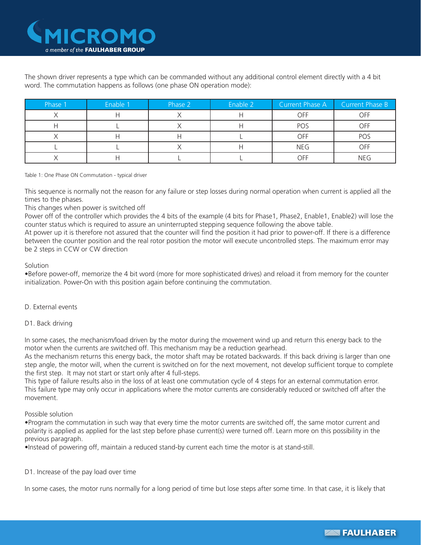

The shown driver represents a type which can be commanded without any additional control element directly with a 4 bit word. The commutation happens as follows (one phase ON operation mode):

| Phase 1 | Enable 1 | Phase 2 | Enable 2 | Current Phase A | Current Phase B |
|---------|----------|---------|----------|-----------------|-----------------|
|         |          |         |          | OFF             | OFF             |
|         |          |         |          | POS             | OFF             |
|         |          |         |          | <b>OFF</b>      | POS             |
|         |          |         |          | <b>NEG</b>      | <b>OFF</b>      |
|         |          |         |          | OFF             | <b>NEG</b>      |

Table 1: One Phase ON Commutation - typical driver

This sequence is normally not the reason for any failure or step losses during normal operation when current is applied all the times to the phases.

## This changes when power is switched off

Power off of the controller which provides the 4 bits of the example (4 bits for Phase1, Phase2, Enable1, Enable2) will lose the counter status which is required to assure an uninterrupted stepping sequence following the above table.

At power up it is therefore not assured that the counter will find the position it had prior to power-off. If there is a difference between the counter position and the real rotor position the motor will execute uncontrolled steps. The maximum error may be 2 steps in CCW or CW direction

## **Solution**

•Before power-off, memorize the 4 bit word (more for more sophisticated drives) and reload it from memory for the counter initialization. Power-On with this position again before continuing the commutation.

## D. External events

## D1. Back driving

In some cases, the mechanism/load driven by the motor during the movement wind up and return this energy back to the motor when the currents are switched off. This mechanism may be a reduction gearhead.

As the mechanism returns this energy back, the motor shaft may be rotated backwards. If this back driving is larger than one step angle, the motor will, when the current is switched on for the next movement, not develop sufficient torque to complete the first step. It may not start or start only after 4 full-steps.

This type of failure results also in the loss of at least one commutation cycle of 4 steps for an external commutation error. This failure type may only occur in applications where the motor currents are considerably reduced or switched off after the movement.

# Possible solution

•Program the commutation in such way that every time the motor currents are switched off, the same motor current and polarity is applied as applied for the last step before phase current(s) were turned off. Learn more on this possibility in the previous paragraph.

•Instead of powering off, maintain a reduced stand-by current each time the motor is at stand-still.

# D1. Increase of the pay load over time

In some cases, the motor runs normally for a long period of time but lose steps after some time. In that case, it is likely that